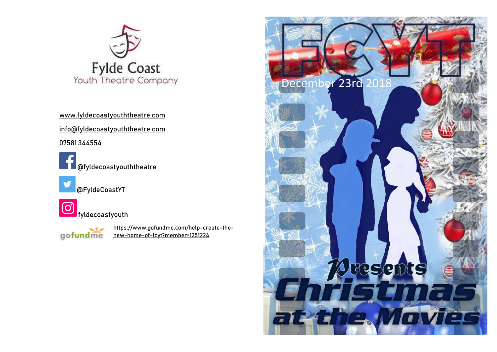

[www.fyldecoastyouththeatre.com](http://www.fyldecoastyouththeatre.com/) [info@fyldecoastyouththeatre.com](mailto:info@fyldecoastyouththeatre.com) 07581 344554

@fyldecoastyouththeatre

@FyldeCoastYT

**6**<br>Fyldecoastyouth

 $\sim$   $\sim$ gofundme [https://www.gofundme.com/help-create-the](https://www.gofundme.com/help-create-the-new-home-of-fcyt?member=1251224)[new-home-of-fcyt?member=1251224](https://www.gofundme.com/help-create-the-new-home-of-fcyt?member=1251224)

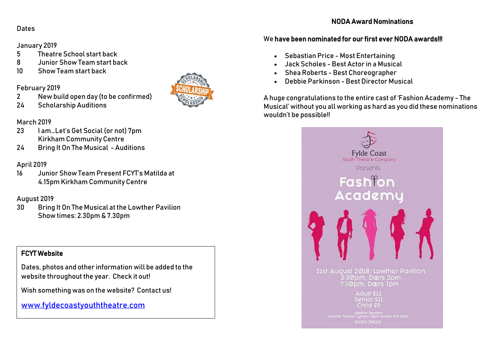# Dates

#### January 2019

- 5 Theatre School start back
- 8 Junior Show Team start back
- 10 Show Team start back

#### February 2019

- 2 New build open day (to be confirmed)
- 24 Scholarship Auditions

#### March 2019

- 23 I am…Let's Get Social (or not) 7pm Kirkham Community Centre
- 24 Bring It On The Musical Auditions

## April 2019

16 Junior Show Team Present FCYT's Matilda at 4.15pm Kirkham Community Centre

## August 2019

30 Bring It On The Musical at the Lowther Pavilion Show times: 2.30pm & 7.30pm

# FCYT Website

Dates, photos and other information will be added to the website throughout the year. Check it out!

Wish something was on the website? Contact us!

[www.fyldecoastyouththeatre.com](http://www.fyldecoastyouththeatre.com/)



#### We have been nominated for our first ever NODA awards!!!

- Sebastian Price Most Entertaining
- Jack Scholes -Best Actor in a Musical
- Shea Roberts Best Choreographer
- Debbie Parkinson Best Director Musical

A huge congratulations to the entire cast of 'Fashion Academy - The Musical' without you all working as hard as you did these nominations wouldn't be possible!!



01253 794221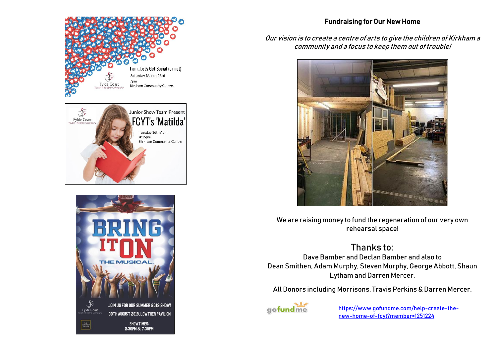





#### Fundraising for Our New Home

#### Our vision is to create a centre of arts to give the children of Kirkham a community and a focus to keep them out of trouble!



We are raising money to fund the regeneration of our very own rehearsal space!

# Thanks to:

Dave Bamber an[d Declan Bamber](https://www.facebook.com/declan.bamber.7?__tn__=KH-R&eid=ARBQgXfAtWCDJkN3G763LHmI8eCOT-9PNHI7fybHLHwZ5I9PBMQpWGSZtBvapGnID7jSyA6kk2HhXV1M&fref=mentions&__xts__%5B0%5D=68.ARC7d5Ffx2XcbUIkbA41mNqK2LUOBb4gBqM2BJZMx1obWN9dN9JyZkmDjMRDf2if1LJWhEYpRssYokOF7ALiR5tgS45PlY4_pAANVcT47SABLvbANl06zov0oqmVctxnVZaJoryLhMkDEBrW99aAiAPEWLWOd0xgRiv16El8LuhLtN2bus2kpktOOIvFHk9z_3t1TzxTbpDIWtL2Sg0Pv46_ZiY4RLQNA4GmxaY-0ciOqcmdaLLjD0Jo6dzmZO0lTlPGBjxEGVbZsjxp9GIEa82U06ZDOh2e3GVRip7m99bB89CkPcNmgKLyYm9djxuFyyi_YoonN6hco0S7hBq_UhBB) and also to [Dean Smithen,](https://www.facebook.com/De4no.S?__tn__=KH-R&eid=ARCZOEmKtiz4Y5MYSXZSoDxKt4k-fbs6DKmSDifCN8qGoWgNMTf6-7nZt43s3cd1mf5py-E5f_vC0-vI&fref=mentions&__xts__%5B0%5D=68.ARC7d5Ffx2XcbUIkbA41mNqK2LUOBb4gBqM2BJZMx1obWN9dN9JyZkmDjMRDf2if1LJWhEYpRssYokOF7ALiR5tgS45PlY4_pAANVcT47SABLvbANl06zov0oqmVctxnVZaJoryLhMkDEBrW99aAiAPEWLWOd0xgRiv16El8LuhLtN2bus2kpktOOIvFHk9z_3t1TzxTbpDIWtL2Sg0Pv46_ZiY4RLQNA4GmxaY-0ciOqcmdaLLjD0Jo6dzmZO0lTlPGBjxEGVbZsjxp9GIEa82U06ZDOh2e3GVRip7m99bB89CkPcNmgKLyYm9djxuFyyi_YoonN6hco0S7hBq_UhBB) Adam Murphy, Steven Murphy, [George Abbott,](https://www.facebook.com/george.abbott.794?__tn__=KH-R&eid=ARBMSnH6Kj5IRRfMtnidwjrcbx0ROgb7GsS7Rjm3sXkhSraqamgWROnWtj1n5YEtmxpOTUOPheOomc7G&fref=mentions&__xts__%5B0%5D=68.ARC7d5Ffx2XcbUIkbA41mNqK2LUOBb4gBqM2BJZMx1obWN9dN9JyZkmDjMRDf2if1LJWhEYpRssYokOF7ALiR5tgS45PlY4_pAANVcT47SABLvbANl06zov0oqmVctxnVZaJoryLhMkDEBrW99aAiAPEWLWOd0xgRiv16El8LuhLtN2bus2kpktOOIvFHk9z_3t1TzxTbpDIWtL2Sg0Pv46_ZiY4RLQNA4GmxaY-0ciOqcmdaLLjD0Jo6dzmZO0lTlPGBjxEGVbZsjxp9GIEa82U06ZDOh2e3GVRip7m99bB89CkPcNmgKLyYm9djxuFyyi_YoonN6hco0S7hBq_UhBB) [Shaun](https://www.facebook.com/shaun.lytham?__tn__=KH-R&eid=ARDdZI6Ilp9etNz33qGCvA3otEN7-xNzsPO8hpdtADxu4IrWqPPiIpoiYn72HQUP47HPdqchmZGl1mm8&fref=mentions&__xts__%5B0%5D=68.ARC7d5Ffx2XcbUIkbA41mNqK2LUOBb4gBqM2BJZMx1obWN9dN9JyZkmDjMRDf2if1LJWhEYpRssYokOF7ALiR5tgS45PlY4_pAANVcT47SABLvbANl06zov0oqmVctxnVZaJoryLhMkDEBrW99aAiAPEWLWOd0xgRiv16El8LuhLtN2bus2kpktOOIvFHk9z_3t1TzxTbpDIWtL2Sg0Pv46_ZiY4RLQNA4GmxaY-0ciOqcmdaLLjD0Jo6dzmZO0lTlPGBjxEGVbZsjxp9GIEa82U06ZDOh2e3GVRip7m99bB89CkPcNmgKLyYm9djxuFyyi_YoonN6hco0S7hBq_UhBB)  [Lytham](https://www.facebook.com/shaun.lytham?__tn__=KH-R&eid=ARDdZI6Ilp9etNz33qGCvA3otEN7-xNzsPO8hpdtADxu4IrWqPPiIpoiYn72HQUP47HPdqchmZGl1mm8&fref=mentions&__xts__%5B0%5D=68.ARC7d5Ffx2XcbUIkbA41mNqK2LUOBb4gBqM2BJZMx1obWN9dN9JyZkmDjMRDf2if1LJWhEYpRssYokOF7ALiR5tgS45PlY4_pAANVcT47SABLvbANl06zov0oqmVctxnVZaJoryLhMkDEBrW99aAiAPEWLWOd0xgRiv16El8LuhLtN2bus2kpktOOIvFHk9z_3t1TzxTbpDIWtL2Sg0Pv46_ZiY4RLQNA4GmxaY-0ciOqcmdaLLjD0Jo6dzmZO0lTlPGBjxEGVbZsjxp9GIEa82U06ZDOh2e3GVRip7m99bB89CkPcNmgKLyYm9djxuFyyi_YoonN6hco0S7hBq_UhBB) and Darren Mercer.

All Donors including Morrisons, Travis Perkins & Darren Mercer.



[https://www.gofundme.com/help-create-the](https://www.gofundme.com/help-create-the-new-home-of-fcyt?member=1251224)[new-home-of-fcyt?member=1251224](https://www.gofundme.com/help-create-the-new-home-of-fcyt?member=1251224)